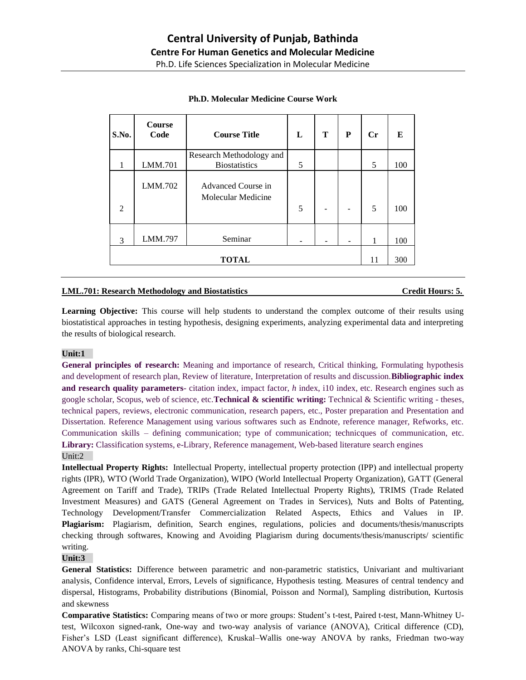| S.No.          | <b>Course</b><br>Code | <b>Course Title</b>                              | L | т | P | $C_{r}$ | E   |
|----------------|-----------------------|--------------------------------------------------|---|---|---|---------|-----|
| 1              | LMM.701               | Research Methodology and<br><b>Biostatistics</b> | 5 |   |   | 5       | 100 |
| $\mathfrak{D}$ | LMM.702               | Advanced Course in<br>Molecular Medicine         | 5 |   |   | 5       | 100 |
| 3              | LMM.797               | Seminar                                          |   |   | ۰ | 1       | 100 |
| <b>TOTAL</b>   |                       |                                                  |   |   |   | 11      | 300 |

# **Ph.D. Molecular Medicine Course Work**

# **LML.701: Research Methodology and Biostatistics Credit Hours: 5.**

**Learning Objective:** This course will help students to understand the complex outcome of their results using biostatistical approaches in testing hypothesis, designing experiments, analyzing experimental data and interpreting the results of biological research.

## **Unit:1**

**General principles of research:** Meaning and importance of research, Critical thinking, Formulating hypothesis and development of research plan, Review of literature, Interpretation of results and discussion.**Bibliographic index and research quality parameters**- citation index, impact factor, *h* index, i10 index, etc. Research engines such as google scholar, Scopus, web of science, etc.**Technical & scientific writing:** Technical & Scientific writing - theses, technical papers, reviews, electronic communication, research papers, etc., Poster preparation and Presentation and Dissertation. Reference Management using various softwares such as Endnote, reference manager, Refworks, etc. Communication skills – defining communication; type of communication; technicques of communication, etc. **Library:** Classification systems, e-Library, Reference management, Web-based literature search engines Unit:2

**Intellectual Property Rights:** Intellectual Property, intellectual property protection (IPP) and intellectual property rights (IPR), WTO (World Trade Organization), WIPO (World Intellectual Property Organization), GATT (General Agreement on Tariff and Trade), TRIPs (Trade Related Intellectual Property Rights), TRIMS (Trade Related Investment Measures) and GATS (General Agreement on Trades in Services), Nuts and Bolts of Patenting, Technology Development/Transfer Commercialization Related Aspects, Ethics and Values in IP. **Plagiarism:** Plagiarism, definition, Search engines, regulations, policies and documents/thesis/manuscripts checking through softwares, Knowing and Avoiding Plagiarism during documents/thesis/manuscripts/ scientific writing.

### **Unit:3**

**General Statistics:** Difference between parametric and non-parametric statistics, Univariant and multivariant analysis, Confidence interval, Errors, Levels of significance, Hypothesis testing. Measures of central tendency and dispersal, Histograms, Probability distributions (Binomial, Poisson and Normal), Sampling distribution, Kurtosis and skewness

**Comparative Statistics:** Comparing means of two or more groups: Student's t-test, Paired t-test, Mann-Whitney Utest, Wilcoxon signed-rank, One-way and two-way analysis of variance (ANOVA), Critical difference (CD), Fisher's LSD (Least significant difference), Kruskal–Wallis one-way ANOVA by ranks, Friedman two-way ANOVA by ranks, Chi-square test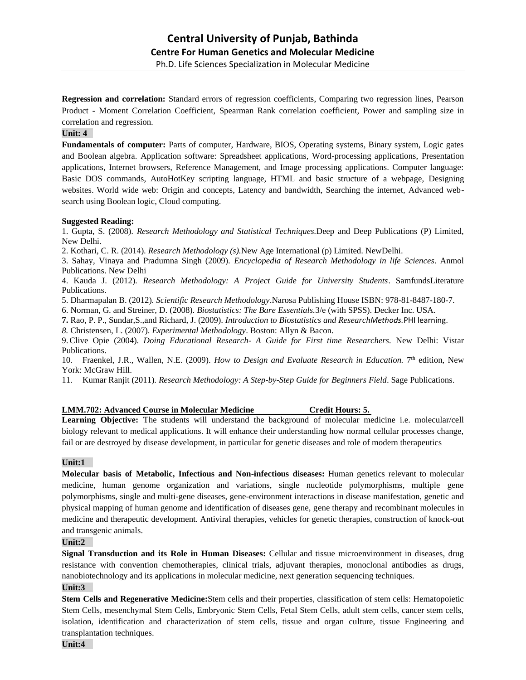**Regression and correlation:** Standard errors of regression coefficients, Comparing two regression lines, Pearson Product - Moment Correlation Coefficient, Spearman Rank correlation coefficient, Power and sampling size in correlation and regression.

### **Unit: 4**

**Fundamentals of computer:** Parts of computer, Hardware, BIOS, Operating systems, Binary system, Logic gates and Boolean algebra. Application software: Spreadsheet applications, Word-processing applications, Presentation applications, Internet browsers, Reference Management, and Image processing applications. Computer language: Basic DOS commands, AutoHotKey scripting language, HTML and basic structure of a webpage, Designing websites. World wide web: Origin and concepts, Latency and bandwidth, Searching the internet, Advanced websearch using Boolean logic, Cloud computing.

#### **Suggested Reading:**

1. Gupta, S. (2008). *Research Methodology and Statistical Techniques.*Deep and Deep Publications (P) Limited, New Delhi.

2. Kothari, C. R. (2014). *Research Methodology (s).*New Age International (p) Limited. NewDelhi.

3. Sahay, Vinaya and Pradumna Singh (2009). *Encyclopedia of Research Methodology in life Sciences*. Anmol Publications. New Delhi

4. Kauda J. (2012). *Research Methodology: A Project Guide for University Students*. SamfundsLiterature Publications.

5. Dharmapalan B. (2012). *Scientific Research Methodology*.Narosa Publishing House ISBN: 978-81-8487-180-7.

6. Norman, G. and Streiner, D. (2008). *Biostatistics: The Bare Essentials.*3/e (with SPSS). Decker Inc. USA.

**7.** Rao, P. P., Sundar,S.,and Richard, J. (2009). *Introduction to Biostatistics and ResearchMethods.*PHI learning.

*8.* Christensen, L. (2007). *Experimental Methodology*. Boston: Allyn & Bacon.

9.Clive Opie (2004). *Doing Educational Research- A Guide for First time Researchers.* New Delhi: Vistar Publications.

10. Fraenkel, J.R., Wallen, N.E. (2009). *How to Design and Evaluate Research in Education*. 7<sup>th</sup> edition, New York: McGraw Hill.

11. Kumar Ranjit (2011). *Research Methodology: A Step-by-Step Guide for Beginners Field*. Sage Publications.

#### **LMM.702: Advanced Course in Molecular Medicine Credit Hours: 5.**

**Learning Objective:** The students will understand the background of molecular medicine i.e. molecular/cell biology relevant to medical applications. It will enhance their understanding how normal cellular processes change, fail or are destroyed by disease development, in particular for genetic diseases and role of modern therapeutics

## **Unit:1**

**Molecular basis of Metabolic, Infectious and Non-infectious diseases:** Human genetics relevant to molecular medicine, human genome organization and variations, single nucleotide polymorphisms, multiple gene polymorphisms, single and multi-gene diseases, gene-environment interactions in disease manifestation, genetic and physical mapping of human genome and identification of diseases gene, gene therapy and recombinant molecules in medicine and therapeutic development. Antiviral therapies, vehicles for genetic therapies, construction of knock-out and transgenic animals.

#### **Unit:2**

**Signal Transduction and its Role in Human Diseases:** Cellular and tissue microenvironment in diseases, drug resistance with convention chemotherapies, clinical trials, adjuvant therapies, monoclonal antibodies as drugs, nanobiotechnology and its applications in molecular medicine, next generation sequencing techniques.

### **Unit:3**

**Stem Cells and Regenerative Medicine:**Stem cells and their properties, classification of stem cells: Hematopoietic Stem Cells, mesenchymal Stem Cells, Embryonic Stem Cells, Fetal Stem Cells, adult stem cells, cancer stem cells, isolation, identification and characterization of stem cells, tissue and organ culture, tissue Engineering and transplantation techniques.